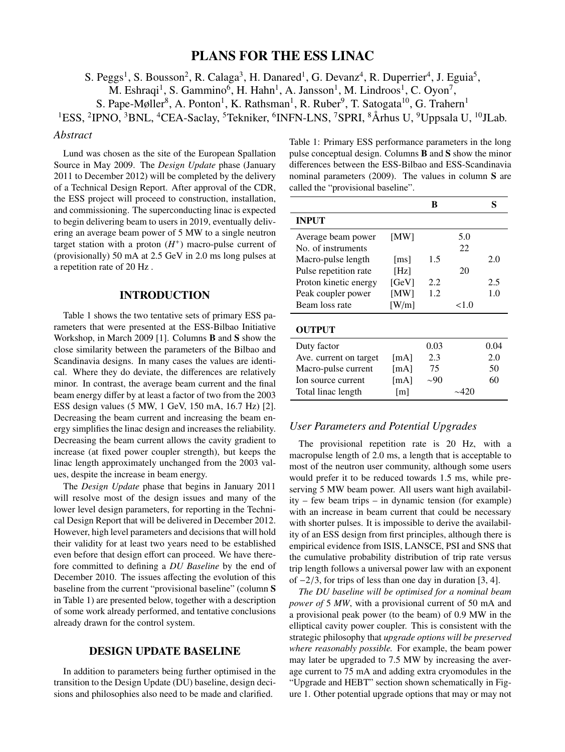# PLANS FOR THE ESS LINAC

S. Peggs<sup>1</sup>, S. Bousson<sup>2</sup>, R. Calaga<sup>3</sup>, H. Danared<sup>1</sup>, G. Devanz<sup>4</sup>, R. Duperrier<sup>4</sup>, J. Eguia<sup>5</sup>,

M. Eshraqi<sup>1</sup>, S. Gammino<sup>6</sup>, H. Hahn<sup>1</sup>, A. Jansson<sup>1</sup>, M. Lindroos<sup>1</sup>, C. Oyon<sup>7</sup>,

S. Pape-Møller<sup>8</sup>, A. Ponton<sup>1</sup>, K. Rathsman<sup>1</sup>, R. Ruber<sup>9</sup>, T. Satogata<sup>10</sup>, G. Trahern<sup>1</sup>

<sup>1</sup>ESS, <sup>2</sup>IPNO, <sup>3</sup>BNL, <sup>4</sup>CEA-Saclay, <sup>5</sup>Tekniker, <sup>6</sup>INFN-LNS, <sup>7</sup>SPRI, <sup>8</sup>Århus U, <sup>9</sup>Uppsala U, <sup>10</sup>JLab.

### *Abstract*

Lund was chosen as the site of the European Spallation Source in May 2009. The *Design Update* phase (January 2011 to December 2012) will be completed by the delivery of a Technical Design Report. After approval of the CDR, the ESS project will proceed to construction, installation, and commissioning. The superconducting linac is expected to begin delivering beam to users in 2019, eventually delivering an average beam power of 5 MW to a single neutron target station with a proton  $(H<sup>+</sup>)$  macro-pulse current of (provisionally) 50 mA at 2.5 GeV in 2.0 ms long pulses at a repetition rate of 20 Hz .

### INTRODUCTION

Table 1 shows the two tentative sets of primary ESS parameters that were presented at the ESS-Bilbao Initiative Workshop, in March 2009 [1]. Columns B and S show the close similarity between the parameters of the Bilbao and Scandinavia designs. In many cases the values are identical. Where they do deviate, the differences are relatively minor. In contrast, the average beam current and the final beam energy differ by at least a factor of two from the 2003 ESS design values (5 MW, 1 GeV, 150 mA, 16.7 Hz) [2]. Decreasing the beam current and increasing the beam energy simplifies the linac design and increases the reliability. Decreasing the beam current allows the cavity gradient to increase (at fixed power coupler strength), but keeps the linac length approximately unchanged from the 2003 values, despite the increase in beam energy.

The *Design Update* phase that begins in January 2011 will resolve most of the design issues and many of the lower level design parameters, for reporting in the Technical Design Report that will be delivered in December 2012. However, high level parameters and decisions that will hold their validity for at least two years need to be established even before that design effort can proceed. We have therefore committed to defining a *DU Baseline* by the end of December 2010. The issues affecting the evolution of this baseline from the current "provisional baseline" (column S in Table 1) are presented below, together with a description of some work already performed, and tentative conclusions already drawn for the control system.

### DESIGN UPDATE BASELINE

In addition to parameters being further optimised in the transition to the Design Update (DU) baseline, design decisions and philosophies also need to be made and clarified.

Table 1: Primary ESS performance parameters in the long pulse conceptual design. Columns B and S show the minor differences between the ESS-Bilbao and ESS-Scandinavia nominal parameters (2009). The values in column S are called the "provisional baseline".

|                        |                     | в         |            | S    |
|------------------------|---------------------|-----------|------------|------|
| <b>INPUT</b>           |                     |           |            |      |
| Average beam power     | [MW]                |           | 5.0        |      |
| No. of instruments     |                     |           | 22         |      |
| Macro-pulse length     | $\lceil ms \rceil$  | 1.5       |            | 2.0  |
| Pulse repetition rate  | [Hz]                |           | 20         |      |
| Proton kinetic energy  | [GeV]               | 2.2       |            | 2.5  |
| Peak coupler power     | [MW]                | 1.2       |            | 1.0  |
| Beam loss rate         | [W/m]               |           | ${<}1.0$   |      |
| <b>OUTPUT</b>          |                     |           |            |      |
| Duty factor            |                     | 0.03      |            | 0.04 |
| Ave. current on target | [mA]                | 2.3       |            | 2.0  |
| Macro-pulse current    | [mA]                | 75        |            | 50   |
| Ion source current     | [mA]                | $\sim 90$ |            | 60   |
| Total linac length     | $\lfloor m \rfloor$ |           | $\sim$ 420 |      |

# *User Parameters and Potential Upgrades*

The provisional repetition rate is 20 Hz, with a macropulse length of 2.0 ms, a length that is acceptable to most of the neutron user community, although some users would prefer it to be reduced towards 1.5 ms, while preserving 5 MW beam power. All users want high availability – few beam trips – in dynamic tension (for example) with an increase in beam current that could be necessary with shorter pulses. It is impossible to derive the availability of an ESS design from first principles, although there is empirical evidence from ISIS, LANSCE, PSI and SNS that the cumulative probability distribution of trip rate versus trip length follows a universal power law with an exponent of −2/3, for trips of less than one day in duration [3, 4].

*The DU baseline will be optimised for a nominal beam power of* 5 *MW*, with a provisional current of 50 mA and a provisional peak power (to the beam) of 0.9 MW in the elliptical cavity power coupler. This is consistent with the strategic philosophy that *upgrade options will be preserved where reasonably possible.* For example, the beam power may later be upgraded to 7.5 MW by increasing the average current to 75 mA and adding extra cryomodules in the "Upgrade and HEBT" section shown schematically in Figure 1. Other potential upgrade options that may or may not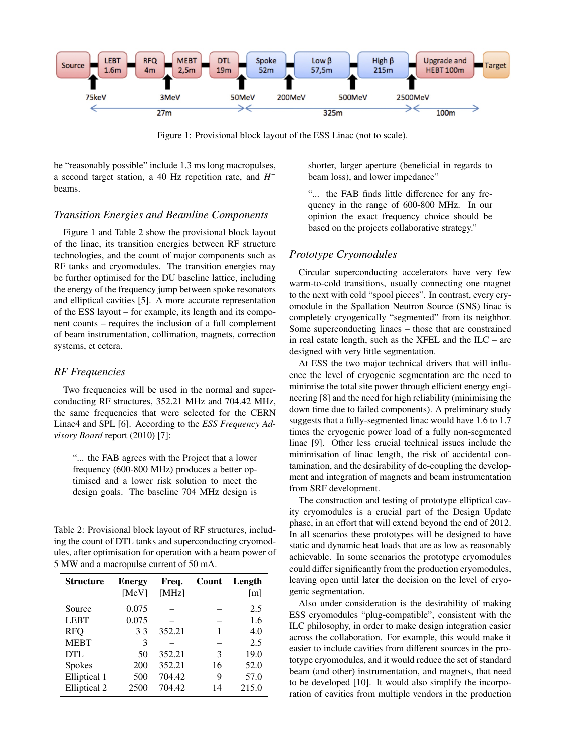

Figure 1: Provisional block layout of the ESS Linac (not to scale).

be "reasonably possible" include 1.3 ms long macropulses, a second target station, a 40 Hz repetition rate, and *H*<sup>−</sup> beams.

### *Transition Energies and Beamline Components*

Figure 1 and Table 2 show the provisional block layout of the linac, its transition energies between RF structure technologies, and the count of major components such as RF tanks and cryomodules. The transition energies may be further optimised for the DU baseline lattice, including the energy of the frequency jump between spoke resonators and elliptical cavities [5]. A more accurate representation of the ESS layout – for example, its length and its component counts – requires the inclusion of a full complement of beam instrumentation, collimation, magnets, correction systems, et cetera.

#### *RF Frequencies*

Two frequencies will be used in the normal and superconducting RF structures, 352.21 MHz and 704.42 MHz, the same frequencies that were selected for the CERN Linac4 and SPL [6]. According to the *ESS Frequency Advisory Board* report (2010) [7]:

"... the FAB agrees with the Project that a lower frequency (600-800 MHz) produces a better optimised and a lower risk solution to meet the design goals. The baseline 704 MHz design is

Table 2: Provisional block layout of RF structures, including the count of DTL tanks and superconducting cryomodules, after optimisation for operation with a beam power of 5 MW and a macropulse current of 50 mA.

| <b>Structure</b> | <b>Energy</b><br>[MeV] | Freq.<br>[MHz] | Count | Length<br>[m] |
|------------------|------------------------|----------------|-------|---------------|
| Source           | 0.075                  |                |       | 2.5           |
| <b>LEBT</b>      | 0.075                  |                |       | 1.6           |
| <b>RFQ</b>       | 33                     | 352.21         | 1     | 4.0           |
| <b>MEBT</b>      | 3                      |                |       | 2.5           |
| DTL              | 50                     | 352.21         | 3     | 19.0          |
| <b>Spokes</b>    | 200                    | 352.21         | 16    | 52.0          |
| Elliptical 1     | 500                    | 704.42         | 9     | 57.0          |
| Elliptical 2     | 2500                   | 704.42         | 14    | 215.0         |

shorter, larger aperture (beneficial in regards to beam loss), and lower impedance"

"... the FAB finds little difference for any frequency in the range of 600-800 MHz. In our opinion the exact frequency choice should be based on the projects collaborative strategy."

# *Prototype Cryomodules*

Circular superconducting accelerators have very few warm-to-cold transitions, usually connecting one magnet to the next with cold "spool pieces". In contrast, every cryomodule in the Spallation Neutron Source (SNS) linac is completely cryogenically "segmented" from its neighbor. Some superconducting linacs – those that are constrained in real estate length, such as the XFEL and the ILC – are designed with very little segmentation.

At ESS the two major technical drivers that will influence the level of cryogenic segmentation are the need to minimise the total site power through efficient energy engineering [8] and the need for high reliability (minimising the down time due to failed components). A preliminary study suggests that a fully-segmented linac would have 1.6 to 1.7 times the cryogenic power load of a fully non-segmented linac [9]. Other less crucial technical issues include the minimisation of linac length, the risk of accidental contamination, and the desirability of de-coupling the development and integration of magnets and beam instrumentation from SRF development.

The construction and testing of prototype elliptical cavity cryomodules is a crucial part of the Design Update phase, in an effort that will extend beyond the end of 2012. In all scenarios these prototypes will be designed to have static and dynamic heat loads that are as low as reasonably achievable. In some scenarios the prototype cryomodules could differ significantly from the production cryomodules, leaving open until later the decision on the level of cryogenic segmentation.

Also under consideration is the desirability of making ESS cryomodules "plug-compatible", consistent with the ILC philosophy, in order to make design integration easier across the collaboration. For example, this would make it easier to include cavities from different sources in the prototype cryomodules, and it would reduce the set of standard beam (and other) instrumentation, and magnets, that need to be developed [10]. It would also simplify the incorporation of cavities from multiple vendors in the production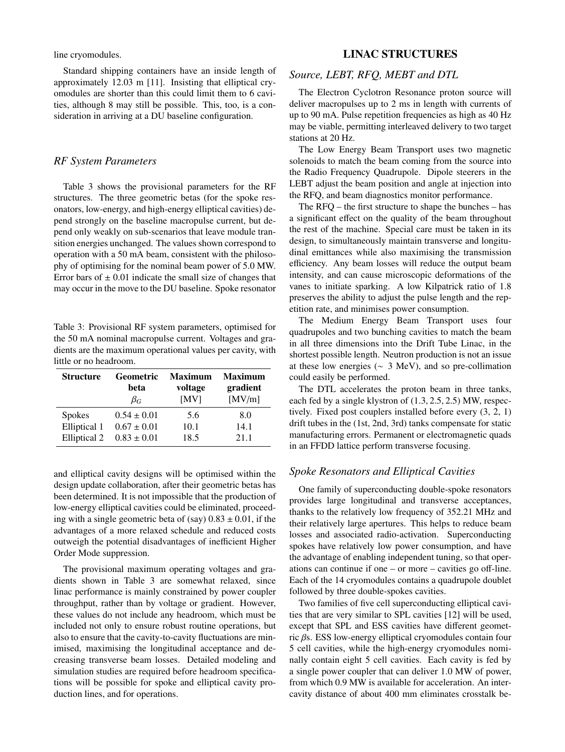line cryomodules.

Standard shipping containers have an inside length of approximately 12.03 m [11]. Insisting that elliptical cryomodules are shorter than this could limit them to 6 cavities, although 8 may still be possible. This, too, is a consideration in arriving at a DU baseline configuration.

# *RF System Parameters*

Table 3 shows the provisional parameters for the RF structures. The three geometric betas (for the spoke resonators, low-energy, and high-energy elliptical cavities) depend strongly on the baseline macropulse current, but depend only weakly on sub-scenarios that leave module transition energies unchanged. The values shown correspond to operation with a 50 mA beam, consistent with the philosophy of optimising for the nominal beam power of 5.0 MW. Error bars of  $\pm 0.01$  indicate the small size of changes that may occur in the move to the DU baseline. Spoke resonator

Table 3: Provisional RF system parameters, optimised for the 50 mA nominal macropulse current. Voltages and gradients are the maximum operational values per cavity, with little or no headroom.

| <b>Structure</b> | <b>Geometric</b><br>beta<br>$\beta_G$ | <b>Maximum</b><br>voltage<br>[MV] | <b>Maximum</b><br>gradient<br>[MV/m] |
|------------------|---------------------------------------|-----------------------------------|--------------------------------------|
| <b>Spokes</b>    | $0.54 \pm 0.01$                       | 5.6                               | 8.0                                  |
| Elliptical 1     | $0.67 \pm 0.01$                       | 10.1                              | 14.1                                 |
| Elliptical 2     | $0.83 \pm 0.01$                       | 18.5                              | 211                                  |

and elliptical cavity designs will be optimised within the design update collaboration, after their geometric betas has been determined. It is not impossible that the production of low-energy elliptical cavities could be eliminated, proceeding with a single geometric beta of (say)  $0.83 \pm 0.01$ , if the advantages of a more relaxed schedule and reduced costs outweigh the potential disadvantages of inefficient Higher Order Mode suppression.

The provisional maximum operating voltages and gradients shown in Table 3 are somewhat relaxed, since linac performance is mainly constrained by power coupler throughput, rather than by voltage or gradient. However, these values do not include any headroom, which must be included not only to ensure robust routine operations, but also to ensure that the cavity-to-cavity fluctuations are minimised, maximising the longitudinal acceptance and decreasing transverse beam losses. Detailed modeling and simulation studies are required before headroom specifications will be possible for spoke and elliptical cavity production lines, and for operations.

# LINAC STRUCTURES

# *Source, LEBT, RFQ, MEBT and DTL*

The Electron Cyclotron Resonance proton source will deliver macropulses up to 2 ms in length with currents of up to 90 mA. Pulse repetition frequencies as high as 40 Hz may be viable, permitting interleaved delivery to two target stations at 20 Hz.

The Low Energy Beam Transport uses two magnetic solenoids to match the beam coming from the source into the Radio Frequency Quadrupole. Dipole steerers in the LEBT adjust the beam position and angle at injection into the RFQ, and beam diagnostics monitor performance.

The RFQ – the first structure to shape the bunches – has a significant effect on the quality of the beam throughout the rest of the machine. Special care must be taken in its design, to simultaneously maintain transverse and longitudinal emittances while also maximising the transmission efficiency. Any beam losses will reduce the output beam intensity, and can cause microscopic deformations of the vanes to initiate sparking. A low Kilpatrick ratio of 1.8 preserves the ability to adjust the pulse length and the repetition rate, and minimises power consumption.

The Medium Energy Beam Transport uses four quadrupoles and two bunching cavities to match the beam in all three dimensions into the Drift Tube Linac, in the shortest possible length. Neutron production is not an issue at these low energies ( $\sim$  3 MeV), and so pre-collimation could easily be performed.

The DTL accelerates the proton beam in three tanks, each fed by a single klystron of (1.3, 2.5, 2.5) MW, respectively. Fixed post couplers installed before every (3, 2, 1) drift tubes in the (1st, 2nd, 3rd) tanks compensate for static manufacturing errors. Permanent or electromagnetic quads in an FFDD lattice perform transverse focusing.

# *Spoke Resonators and Elliptical Cavities*

One family of superconducting double-spoke resonators provides large longitudinal and transverse acceptances, thanks to the relatively low frequency of 352.21 MHz and their relatively large apertures. This helps to reduce beam losses and associated radio-activation. Superconducting spokes have relatively low power consumption, and have the advantage of enabling independent tuning, so that operations can continue if one – or more – cavities go off-line. Each of the 14 cryomodules contains a quadrupole doublet followed by three double-spokes cavities.

Two families of five cell superconducting elliptical cavities that are very similar to SPL cavities [12] will be used, except that SPL and ESS cavities have different geometric βs. ESS low-energy elliptical cryomodules contain four 5 cell cavities, while the high-energy cryomodules nominally contain eight 5 cell cavities. Each cavity is fed by a single power coupler that can deliver 1.0 MW of power, from which 0.9 MW is available for acceleration. An intercavity distance of about 400 mm eliminates crosstalk be-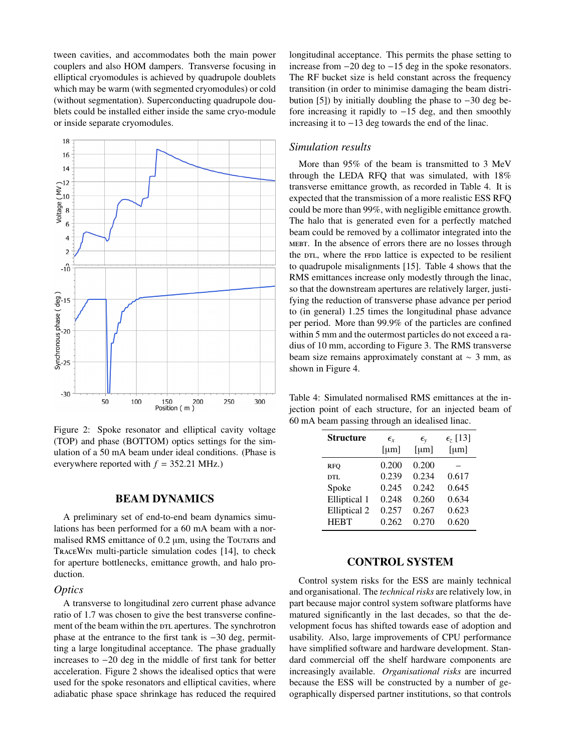tween cavities, and accommodates both the main power couplers and also HOM dampers. Transverse focusing in elliptical cryomodules is achieved by quadrupole doublets which may be warm (with segmented cryomodules) or cold (without segmentation). Superconducting quadrupole doublets could be installed either inside the same cryo-module or inside separate cryomodules.



Figure 2: Spoke resonator and elliptical cavity voltage (TOP) and phase (BOTTOM) optics settings for the simulation of a 50 mA beam under ideal conditions. (Phase is everywhere reported with  $f = 352.21$  MHz.)

### BEAM DYNAMICS

A preliminary set of end-to-end beam dynamics simulations has been performed for a 60 mA beam with a normalised RMS emittance of  $0.2 \mu m$ , using the Touraris and TraceWin multi-particle simulation codes [14], to check for aperture bottlenecks, emittance growth, and halo production.

### *Optics*

A transverse to longitudinal zero current phase advance ratio of 1.7 was chosen to give the best transverse confinement of the beam within the  $DTL$  apertures. The synchrotron phase at the entrance to the first tank is −30 deg, permitting a large longitudinal acceptance. The phase gradually increases to −20 deg in the middle of first tank for better acceleration. Figure 2 shows the idealised optics that were used for the spoke resonators and elliptical cavities, where adiabatic phase space shrinkage has reduced the required longitudinal acceptance. This permits the phase setting to increase from −20 deg to −15 deg in the spoke resonators. The RF bucket size is held constant across the frequency transition (in order to minimise damaging the beam distribution [5]) by initially doubling the phase to −30 deg before increasing it rapidly to −15 deg, and then smoothly increasing it to −13 deg towards the end of the linac.

### *Simulation results*

More than 95% of the beam is transmitted to 3 MeV through the LEDA RFQ that was simulated, with 18% transverse emittance growth, as recorded in Table 4. It is expected that the transmission of a more realistic ESS RFQ could be more than 99%, with negligible emittance growth. The halo that is generated even for a perfectly matched beam could be removed by a collimator integrated into the mebt. In the absence of errors there are no losses through the  $DTL$ , where the FFDD lattice is expected to be resilient to quadrupole misalignments [15]. Table 4 shows that the RMS emittances increase only modestly through the linac, so that the downstream apertures are relatively larger, justifying the reduction of transverse phase advance per period to (in general) 1.25 times the longitudinal phase advance per period. More than 99.9% of the particles are confined within 5 mm and the outermost particles do not exceed a radius of 10 mm, according to Figure 3. The RMS transverse beam size remains approximately constant at ∼ 3 mm, as shown in Figure 4.

Table 4: Simulated normalised RMS emittances at the injection point of each structure, for an injected beam of 60 mA beam passing through an idealised linac.

| <b>Structure</b> | $\epsilon_{r}$ | $\epsilon_{\rm v}$ | $\epsilon$ <sub>z</sub> [13] |
|------------------|----------------|--------------------|------------------------------|
|                  | [ $\mu$ m]     | [µm]               | [µm]                         |
| <b>RFO</b>       | 0.200          | 0.200              |                              |
| DTI.             | 0.239          | 0.234              | 0.617                        |
| Spoke            | 0.245          | 0.242              | 0.645                        |
| Elliptical 1     | 0.248          | 0.260              | 0.634                        |
| Elliptical 2     | 0.257          | 0.267              | 0.623                        |
| <b>HEBT</b>      | 0.262          | 0.270              | 0.620                        |

### CONTROL SYSTEM

Control system risks for the ESS are mainly technical and organisational. The *technical risks* are relatively low, in part because major control system software platforms have matured significantly in the last decades, so that the development focus has shifted towards ease of adoption and usability. Also, large improvements of CPU performance have simplified software and hardware development. Standard commercial off the shelf hardware components are increasingly available. *Organisational risks* are incurred because the ESS will be constructed by a number of geographically dispersed partner institutions, so that controls